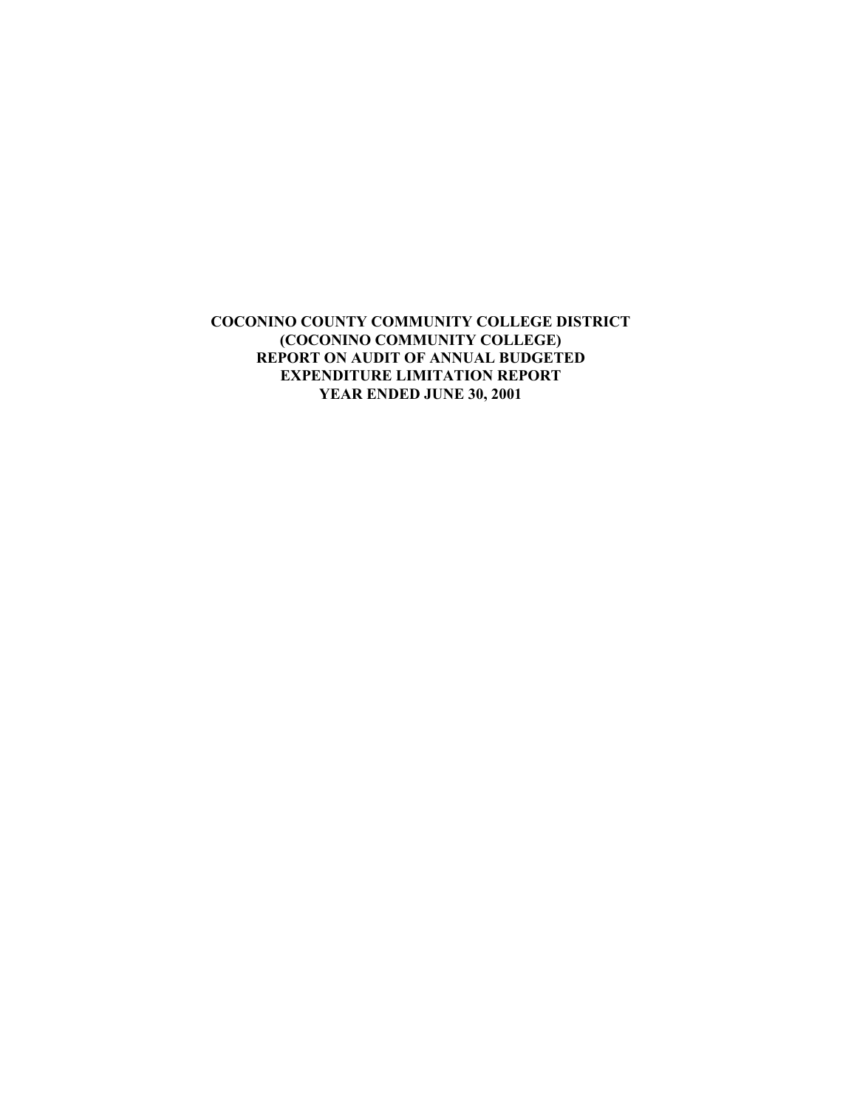**COCONINO COUNTY COMMUNITY COLLEGE DISTRICT (COCONINO COMMUNITY COLLEGE) REPORT ON AUDIT OF ANNUAL BUDGETED EXPENDITURE LIMITATION REPORT YEAR ENDED JUNE 30, 2001**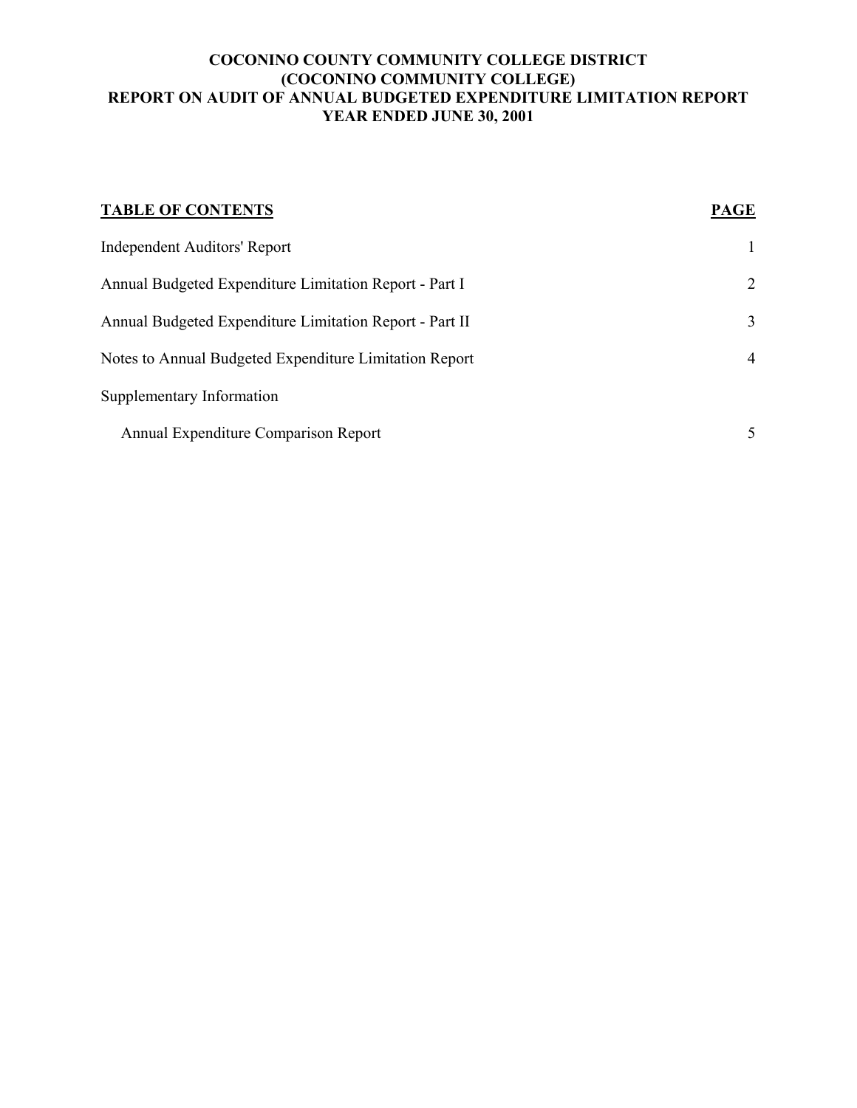## **COCONINO COUNTY COMMUNITY COLLEGE DISTRICT (COCONINO COMMUNITY COLLEGE) REPORT ON AUDIT OF ANNUAL BUDGETED EXPENDITURE LIMITATION REPORT YEAR ENDED JUNE 30, 2001**

| <b>TABLE OF CONTENTS</b>                                | <b>PAGE</b>  |
|---------------------------------------------------------|--------------|
| <b>Independent Auditors' Report</b>                     | $\mathbf{1}$ |
| Annual Budgeted Expenditure Limitation Report - Part I  | 2            |
| Annual Budgeted Expenditure Limitation Report - Part II | 3            |
| Notes to Annual Budgeted Expenditure Limitation Report  | 4            |
| Supplementary Information                               |              |
| Annual Expenditure Comparison Report                    | 5            |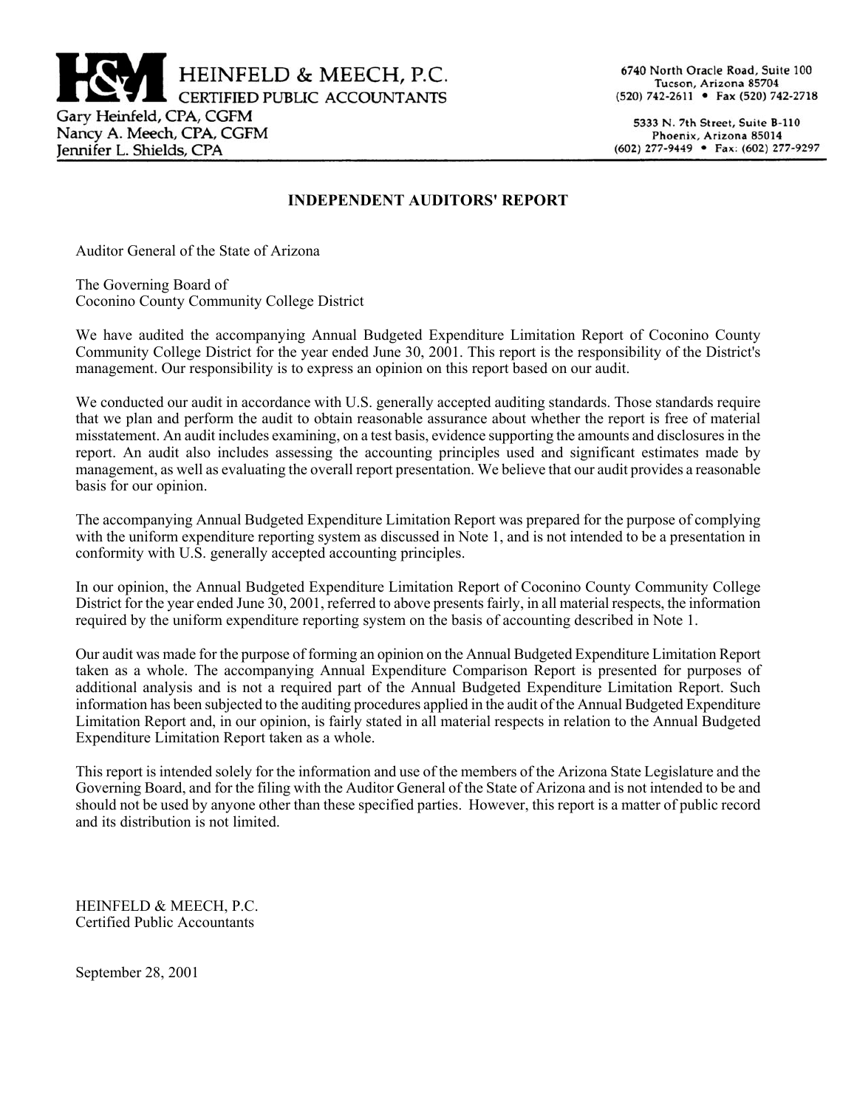

5333 N. 7th Street, Suite B-110 Phoenix, Arizona 85014 (602) 277-9449 • Fax: (602) 277-9297

#### **INDEPENDENT AUDITORS' REPORT**

Auditor General of the State of Arizona

The Governing Board of Coconino County Community College District

We have audited the accompanying Annual Budgeted Expenditure Limitation Report of Coconino County Community College District for the year ended June 30, 2001. This report is the responsibility of the District's management. Our responsibility is to express an opinion on this report based on our audit.

We conducted our audit in accordance with U.S. generally accepted auditing standards. Those standards require that we plan and perform the audit to obtain reasonable assurance about whether the report is free of material misstatement. An audit includes examining, on a test basis, evidence supporting the amounts and disclosures in the report. An audit also includes assessing the accounting principles used and significant estimates made by management, as well as evaluating the overall report presentation. We believe that our audit provides a reasonable basis for our opinion.

The accompanying Annual Budgeted Expenditure Limitation Report was prepared for the purpose of complying with the uniform expenditure reporting system as discussed in Note 1, and is not intended to be a presentation in conformity with U.S. generally accepted accounting principles.

In our opinion, the Annual Budgeted Expenditure Limitation Report of Coconino County Community College District for the year ended June 30, 2001, referred to above presents fairly, in all material respects, the information required by the uniform expenditure reporting system on the basis of accounting described in Note 1.

Our audit was made for the purpose of forming an opinion on the Annual Budgeted Expenditure Limitation Report taken as a whole. The accompanying Annual Expenditure Comparison Report is presented for purposes of additional analysis and is not a required part of the Annual Budgeted Expenditure Limitation Report. Such information has been subjected to the auditing procedures applied in the audit of the Annual Budgeted Expenditure Limitation Report and, in our opinion, is fairly stated in all material respects in relation to the Annual Budgeted Expenditure Limitation Report taken as a whole.

This report is intended solely for the information and use of the members of the Arizona State Legislature and the Governing Board, and for the filing with the Auditor General of the State of Arizona and is not intended to be and should not be used by anyone other than these specified parties. However, this report is a matter of public record and its distribution is not limited.

HEINFELD & MEECH, P.C. Certified Public Accountants

September 28, 2001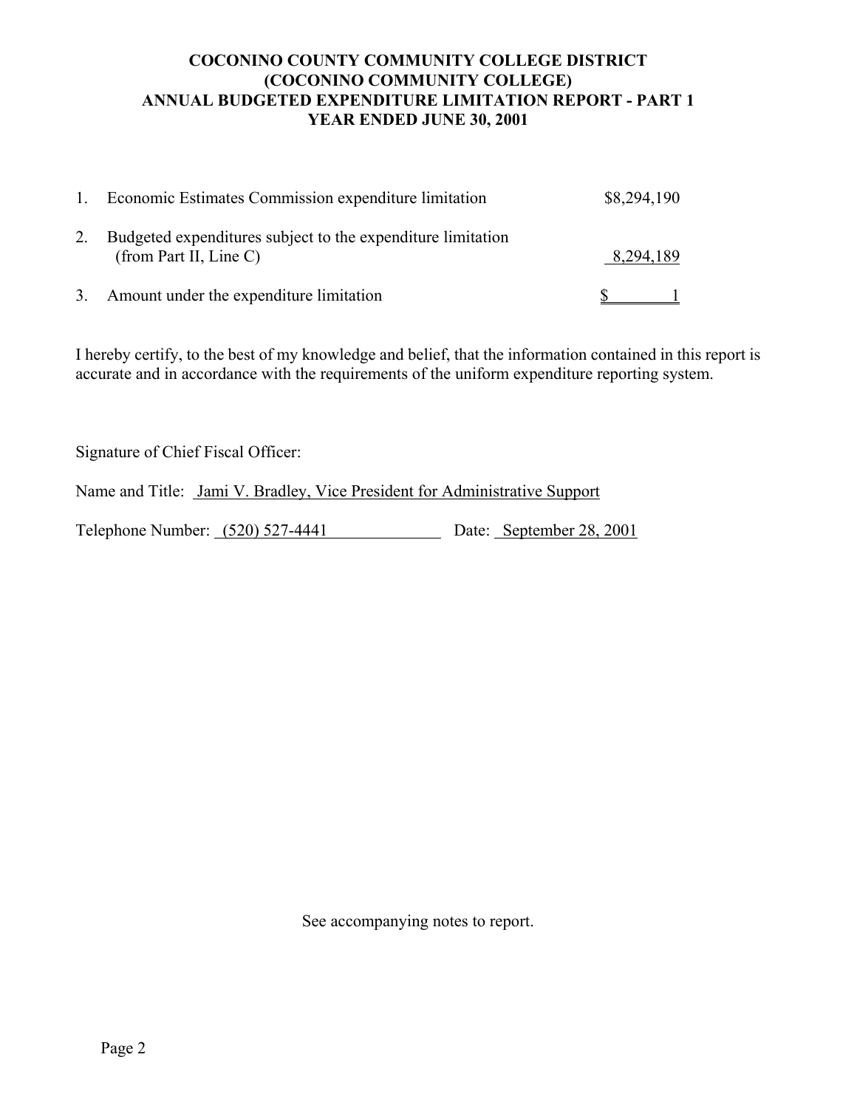# **COCONINO COUNTY COMMUNITY COLLEGE DISTRICT (COCONINO COMMUNITY COLLEGE) ANNUAL BUDGETED EXPENDITURE LIMITATION REPORT - PART 1 YEAR ENDED JUNE 30, 2001**

| Economic Estimates Commission expenditure limitation                                  | \$8,294,190 |
|---------------------------------------------------------------------------------------|-------------|
| Budgeted expenditures subject to the expenditure limitation<br>(from Part II, Line C) | 8,294,189   |
| 3. Amount under the expenditure limitation                                            |             |

I hereby certify, to the best of my knowledge and belief, that the information contained in this report is accurate and in accordance with the requirements of the uniform expenditure reporting system.

Signature of Chief Fiscal Officer:

Name and Title: Jami V. Bradley, Vice President for Administrative Support

Telephone Number: (520) 527-4441 Date: September 28, 2001

See accompanying notes to report.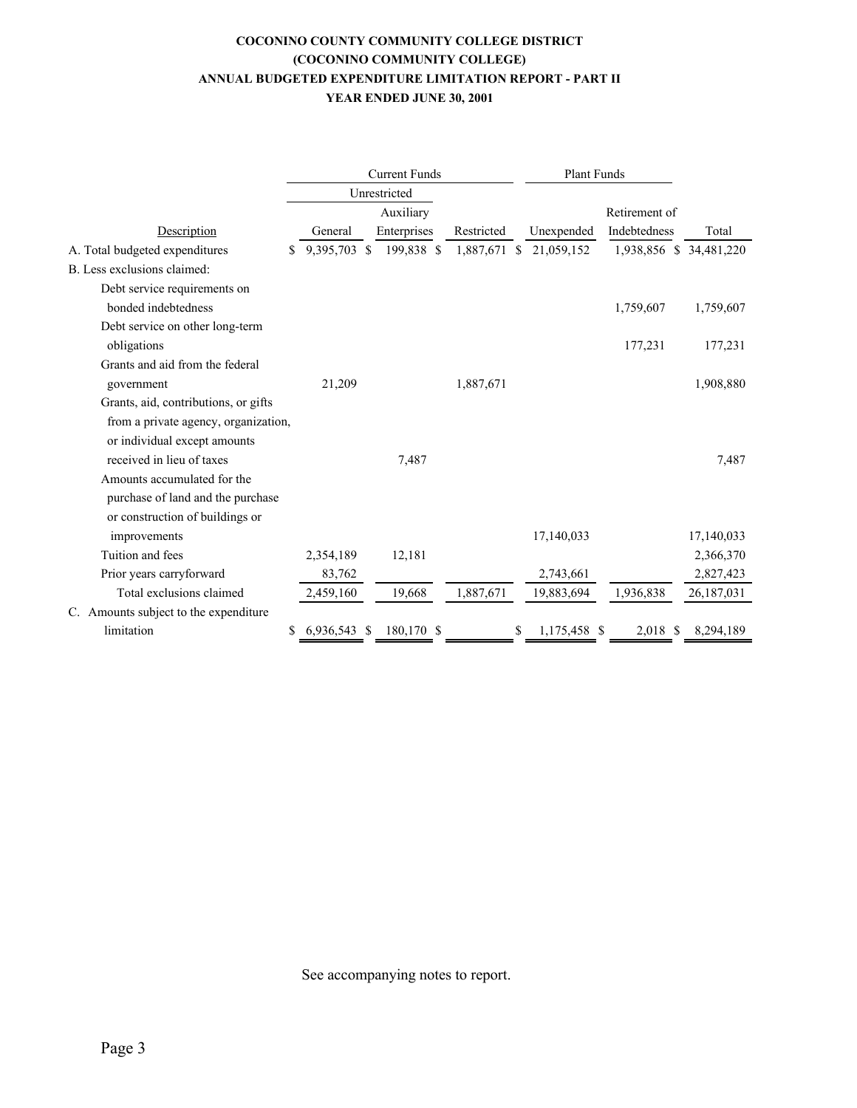#### **COCONINO COUNTY COMMUNITY COLLEGE DISTRICT (COCONINO COMMUNITY COLLEGE) ANNUAL BUDGETED EXPENDITURE LIMITATION REPORT - PART II YEAR ENDED JUNE 30, 2001**

|                                       |   | <b>Current Funds</b> |  |              | <b>Plant Funds</b> |                    |                         |            |
|---------------------------------------|---|----------------------|--|--------------|--------------------|--------------------|-------------------------|------------|
|                                       |   |                      |  | Unrestricted |                    |                    |                         |            |
|                                       |   |                      |  | Auxiliary    |                    |                    | Retirement of           |            |
| Description                           |   | General              |  | Enterprises  | Restricted         | Unexpended         | Indebtedness            | Total      |
| A. Total budgeted expenditures        | S | 9,395,703 \$         |  | 199,838 \$   | 1,887,671 \$       | 21,059,152         | 1,938,856 \$ 34,481,220 |            |
| B. Less exclusions claimed:           |   |                      |  |              |                    |                    |                         |            |
| Debt service requirements on          |   |                      |  |              |                    |                    |                         |            |
| bonded indebtedness                   |   |                      |  |              |                    |                    | 1,759,607               | 1,759,607  |
| Debt service on other long-term       |   |                      |  |              |                    |                    |                         |            |
| obligations                           |   |                      |  |              |                    |                    | 177,231                 | 177,231    |
| Grants and aid from the federal       |   |                      |  |              |                    |                    |                         |            |
| government                            |   | 21,209               |  |              | 1,887,671          |                    |                         | 1,908,880  |
| Grants, aid, contributions, or gifts  |   |                      |  |              |                    |                    |                         |            |
| from a private agency, organization,  |   |                      |  |              |                    |                    |                         |            |
| or individual except amounts          |   |                      |  |              |                    |                    |                         |            |
| received in lieu of taxes             |   |                      |  | 7,487        |                    |                    |                         | 7,487      |
| Amounts accumulated for the           |   |                      |  |              |                    |                    |                         |            |
| purchase of land and the purchase     |   |                      |  |              |                    |                    |                         |            |
| or construction of buildings or       |   |                      |  |              |                    |                    |                         |            |
| improvements                          |   |                      |  |              |                    | 17,140,033         |                         | 17,140,033 |
| Tuition and fees                      |   | 2,354,189            |  | 12,181       |                    |                    |                         | 2,366,370  |
| Prior years carryforward              |   | 83,762               |  |              |                    | 2,743,661          |                         | 2,827,423  |
| Total exclusions claimed              |   | 2,459,160            |  | 19,668       | 1,887,671          | 19,883,694         | 1,936,838               | 26,187,031 |
| C. Amounts subject to the expenditure |   |                      |  |              |                    |                    |                         |            |
| limitation                            | S | 6,936,543 \$         |  | 180,170 \$   |                    | \$<br>1,175,458 \$ | 2,018 \$                | 8,294,189  |

See accompanying notes to report.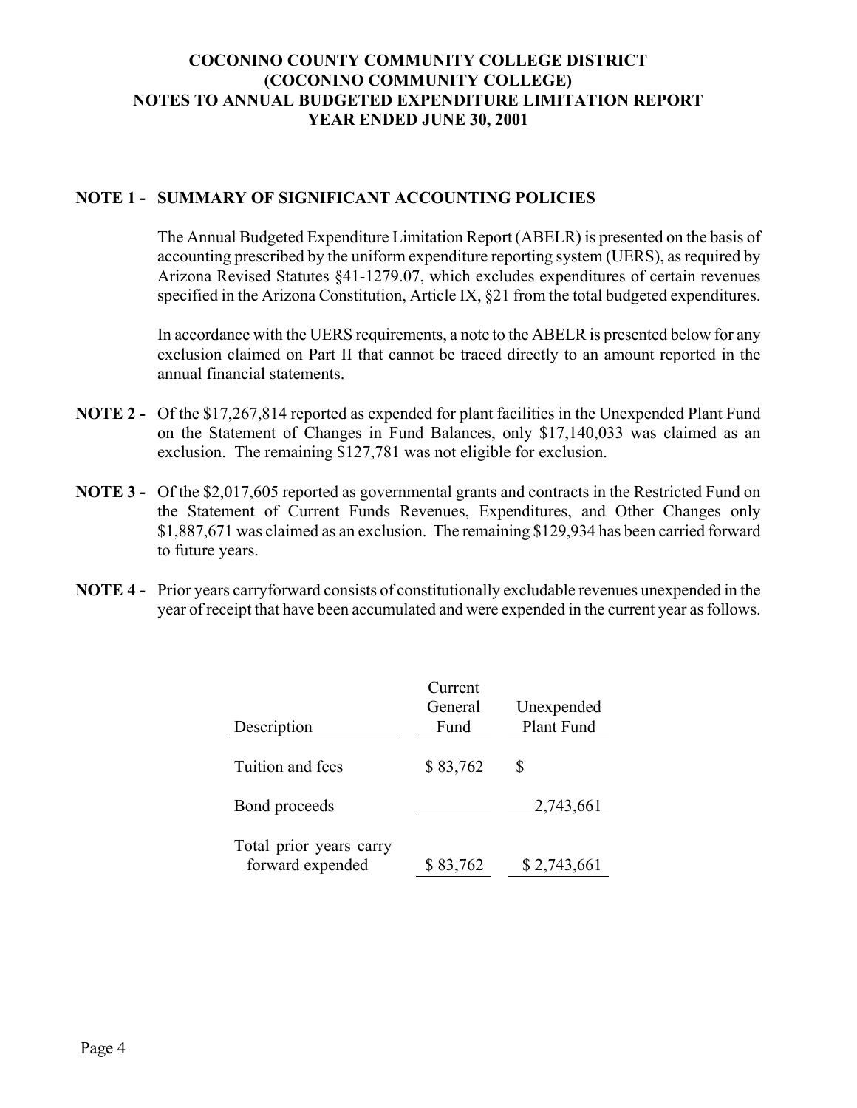# **COCONINO COUNTY COMMUNITY COLLEGE DISTRICT (COCONINO COMMUNITY COLLEGE) NOTES TO ANNUAL BUDGETED EXPENDITURE LIMITATION REPORT YEAR ENDED JUNE 30, 2001**

## **NOTE 1 - SUMMARY OF SIGNIFICANT ACCOUNTING POLICIES**

The Annual Budgeted Expenditure Limitation Report (ABELR) is presented on the basis of accounting prescribed by the uniform expenditure reporting system (UERS), as required by Arizona Revised Statutes ß41-1279.07, which excludes expenditures of certain revenues specified in the Arizona Constitution, Article IX, §21 from the total budgeted expenditures.

In accordance with the UERS requirements, a note to the ABELR is presented below for any exclusion claimed on Part II that cannot be traced directly to an amount reported in the annual financial statements.

- **NOTE 2** Of the \$17,267,814 reported as expended for plant facilities in the Unexpended Plant Fund on the Statement of Changes in Fund Balances, only \$17,140,033 was claimed as an exclusion. The remaining \$127,781 was not eligible for exclusion.
- **NOTE 3** Of the \$2,017,605 reported as governmental grants and contracts in the Restricted Fund on the Statement of Current Funds Revenues, Expenditures, and Other Changes only \$1,887,671 was claimed as an exclusion. The remaining \$129,934 has been carried forward to future years.
- **NOTE 4** Prior years carryforward consists of constitutionally excludable revenues unexpended in the year of receipt that have been accumulated and were expended in the current year as follows.

|                                             | Current  |             |
|---------------------------------------------|----------|-------------|
|                                             | General  | Unexpended  |
| Description                                 | Fund     | Plant Fund  |
|                                             |          |             |
| Tuition and fees                            | \$83,762 | S           |
| Bond proceeds                               |          | 2,743,661   |
| Total prior years carry<br>forward expended | \$83,762 | \$2,743,661 |
|                                             |          |             |